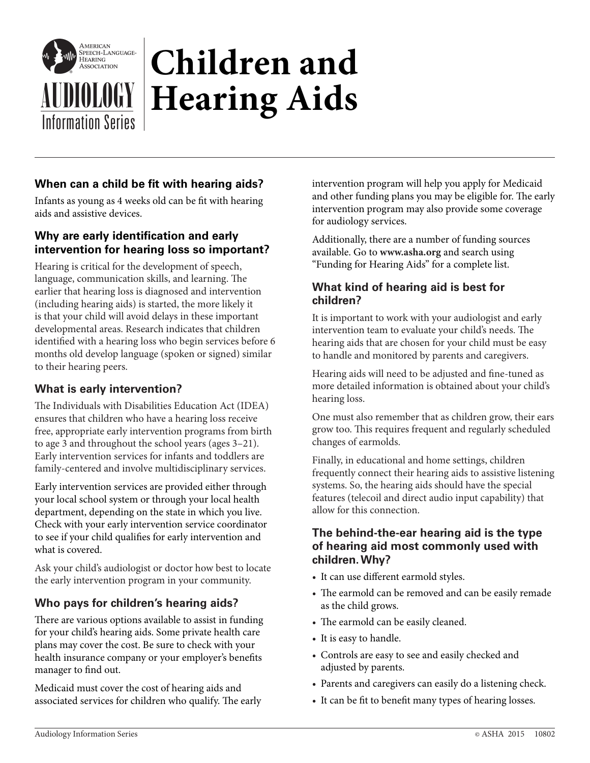

# **Children and**  AUDIOLOGY **Hearing Aids** Information Series

## **When can a child be fit with hearing aids?**

Infants as young as 4 weeks old can be fit with hearing aids and assistive devices.

## **Why are early identification and early intervention for hearing loss so important?**

Hearing is critical for the development of speech, language, communication skills, and learning. The earlier that hearing loss is diagnosed and intervention (including hearing aids) is started, the more likely it is that your child will avoid delays in these important developmental areas. Research indicates that children identified with a hearing loss who begin services before 6 months old develop language (spoken or signed) similar to their hearing peers.

#### **What is early intervention?**

The Individuals with Disabilities Education Act (IDEA) ensures that children who have a hearing loss receive free, appropriate early intervention programs from birth to age 3 and throughout the school years (ages 3–21). Early intervention services for infants and toddlers are family-centered and involve multidisciplinary services.

Early intervention services are provided either through your local school system or through your local health department, depending on the state in which you live. Check with your early intervention service coordinator to see if your child qualifies for early intervention and what is covered.

Ask your child's audiologist or doctor how best to locate the early intervention program in your community.

# **Who pays for children's hearing aids?**

There are various options available to assist in funding for your child's hearing aids. Some private health care plans may cover the cost. Be sure to check with your health insurance company or your employer's benefits manager to find out.

Medicaid must cover the cost of hearing aids and associated services for children who qualify. The early intervention program will help you apply for Medicaid and other funding plans you may be eligible for. The early intervention program may also provide some coverage for audiology services.

Additionally, there are a number of funding sources available. Go to **www.asha.org** and search using "Funding for Hearing Aids" for a complete list.

#### **What kind of hearing aid is best for children?**

It is important to work with your audiologist and early intervention team to evaluate your child's needs. The hearing aids that are chosen for your child must be easy to handle and monitored by parents and caregivers.

Hearing aids will need to be adjusted and fine-tuned as more detailed information is obtained about your child's hearing loss.

One must also remember that as children grow, their ears grow too. This requires frequent and regularly scheduled changes of earmolds.

Finally, in educational and home settings, children frequently connect their hearing aids to assistive listening systems. So, the hearing aids should have the special features (telecoil and direct audio input capability) that allow for this connection.

#### **The behind-the-ear hearing aid is the type of hearing aid most commonly used with children. Why?**

- It can use different earmold styles.
- The earmold can be removed and can be easily remade as the child grows.
- The earmold can be easily cleaned.
- It is easy to handle.
- Controls are easy to see and easily checked and adjusted by parents.
- Parents and caregivers can easily do a listening check.
- It can be fit to benefit many types of hearing losses.